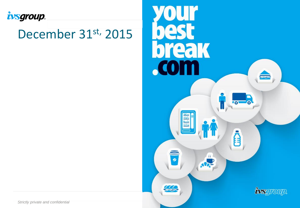

## December 31st, 2015



**Strictly private and confidential**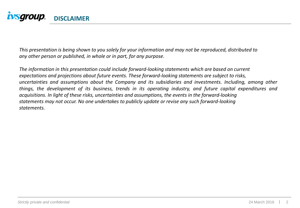

This presentation is being shown to you solely for your information and may not be reproduced, distributed to *any other person or published, in whole or in part, for any purpose.*

*The information in this presentation could include forward-looking statements which are based on current expectations and projections about future events. These forward-looking statements are subject to risks, uncertainties and assumptions about the Company and its subsidiaries and investments. Including, among other things, the development of its business, trends in its operating industry, and future capital expenditures and acquisitions. In light of these risks, uncertainties and assumptions, the events in the forward-looking statements may not occur. No one undertakes to publicly update or revise any such forward-looking statements.*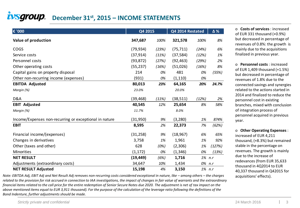#### **i**VSGroup. [D](http://www.ivsgroup.it/index.asp)ecember 31<sup>st</sup>, 2015 – INCOME STATEMENTS

| € '000                                                 | Q4 2015   |       | Q4 2014 Restated | Δ%     |        |
|--------------------------------------------------------|-----------|-------|------------------|--------|--------|
| Value of production                                    | 347,687   | 100%  | 321,578          | 100%   | 8%     |
| COGS                                                   | (79, 934) | (23%) | (75, 711)        | (24%)  | 6%     |
| Service costs                                          | (37, 914) | (11%) | (37, 584)        | (12%)  | 1%     |
| Personnel costs                                        | (93, 872) | (27%) | (92, 463)        | (29%)  | 2%     |
| Other operating costs                                  | (55, 237) | (16%) | (51,026)         | (16%)  | 8%     |
| Capital gains on property disposal                     | 214       | 0%    | 481              | 0%     | (55%)  |
| Other non-recurring income (expenses)                  | (931)     | 0%    | (1, 110)         | 0%     |        |
| <b>EBITDA Adjusted</b>                                 | 80,013    | 23%   | 64,165           | 20%    | 24.7%  |
| Margin (%)                                             | 23.0%     |       | 20.0%            |        |        |
| D&A                                                    | (39, 468) | (11%) | (38, 511)        | (12%)  | 2%     |
| <b>EBIT Adjusted</b>                                   | 40,545    | 12%   | 25,654           | 8%     | 58%    |
| Margin (%)                                             | 11.7%     |       | 8.0%             |        |        |
| Income/Expenses non-recurring or exceptional in nature | (31,950)  | 9%    | (3, 280)         | 1%     | 874%   |
| <b>EBIT</b>                                            | 8,595     | 2%    | 22,373           | 7%     | (62%)  |
| Financial income/(expenses)                            | (31, 258) | 9%    | (18, 967)        | 6%     | 65%    |
| Changes in derivatives                                 | 3,758     | 1%    | 1,961            | 1%     | 92%    |
| Other (taxes and other)                                | 628       | (0%)  | (2,306)          | 1%     | (127%) |
| Minorities                                             | (1, 172)  | 0%    | (1, 346)         | 0%     | (13%)  |
| <b>NET RESULT</b>                                      | (19, 449) | (6%)  | 1,716            | 1% n.r |        |
| Adjustments (extraordinary costs)                      | 34,647    | 10%   | 1,434            | 0%     | n.r    |
| <b>NET RESULT Adjusted</b>                             | 15,198    | 4%    | 3,150            | 1% n.r |        |

*Note: EBITDA Adj, EBIT Adj and Net Result Adj removes non-recurring costs considered exceptional in nature, like – among others – the charges related to the provision for risk accrued in connection to IAA investigations, the impact of changes in fair value of warrants and the extraordinary financial items related to the call price for the entire redemption of Senior Secure Notes due 2020. The adjustment is net of tax impact on the above mentioned items equal to EUR 3,911 thousand). For the purpose of the calculation of the leverage ratio following the definitions of the Bond Indenture, further adjustments should be made.*

o **Costs of services** : increased of EUR 331 thousand (+0.9%) but decreased in percentage of revenues of 0.8%: the growth is mainly due to the acquisitions finalized in previous year.

o **Personnel costs** : increased of EUR 1,409 thousand (+1.5%) but decreased in percentage of revenues of 1.8% due to the connected savings and synergies related to the actions started in 2014 and finalized to reduce the personnel cost in existing branches, mixed with conclusion of integration process of personnel acquired in previous year.

o **Other Operating Expenses** : increased of EUR 4,211 thousand, (+8.3%) but remained stable in the percentage on revenues. The growth is mainly due to the increase of redevances (from EUR 35,633 thousand in 4Q2014 to EUR 40,337 thousand in Q42015 for

acquisitions' effects).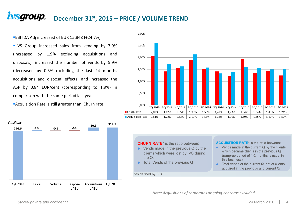#### *ivsgroup.* **December 31st, 2015 – PRICE / VOLUME TREND**

EBITDA Adj increased of EUR 15,848 (+24.7%).

**IVS** Group increased sales from vending by 7.9% (increased by 1.9% excluding acquisitions and disposals), increased the number of vends by 5.9% (decreased by 0.3% excluding the last 24 months acquisitions and disposal effects) and increased the ASP by 0.84 EUR/cent (corresponding to 1.9%) in comparison with the same period last year.

**Acquisition Rate is still greater than Churn rate.** 





**CHURN RATE\*** is the ratio between:

- $\bullet$  Vends made in the previous Q by the clients which were lost by IVS during the  $Q$ :
- ♦ Total Vends of the previous Q

**ACQUISITION RATE\*** is the ratio between:

- $\bullet$  Vends made in the current Q by the clients which became clients in the previous Q (ramp-up period of 1-2 months is usual in this business):
- Total Vends of the current Q, net of clients acquired in the previous and current Q.

\*as defined by IVS

*Note: Acquisitions of corporates or going-concerns excluded.*

*Strictly private and confidential* 4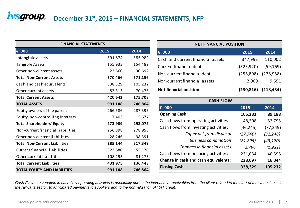| <b>FINANCIAL STATEMENTS</b>          |         |         |  |  |  |  |  |  |  |  |
|--------------------------------------|---------|---------|--|--|--|--|--|--|--|--|
| € '000                               | 2015    | 2014    |  |  |  |  |  |  |  |  |
| Intangible assets                    | 391,874 | 385,982 |  |  |  |  |  |  |  |  |
| Tangible Assets                      | 155,933 | 154,482 |  |  |  |  |  |  |  |  |
| Other non-current assets             | 22,660  | 30,692  |  |  |  |  |  |  |  |  |
| <b>Total Non-Current Assets</b>      | 570,466 | 571,156 |  |  |  |  |  |  |  |  |
| Cash and cash equivalents            | 338,329 | 105,232 |  |  |  |  |  |  |  |  |
| Other current assets                 | 82,313  | 70,476  |  |  |  |  |  |  |  |  |
| <b>Total Current Assets</b>          | 420,642 | 175,708 |  |  |  |  |  |  |  |  |
| <b>TOTAL ASSETS</b>                  | 991,108 | 746,864 |  |  |  |  |  |  |  |  |
| Equity owners of the parent          | 266,586 | 287,395 |  |  |  |  |  |  |  |  |
| Equity non-controlling interests     | 7,403   | 5,677   |  |  |  |  |  |  |  |  |
| <b>Total Shareholders' Equity</b>    | 273,989 | 293,072 |  |  |  |  |  |  |  |  |
| Non-current financial liabilities    | 256,898 | 278,958 |  |  |  |  |  |  |  |  |
| Other non-current liabilities        | 28,246  | 38,391  |  |  |  |  |  |  |  |  |
| <b>Total Non-Current Liabilities</b> | 285,144 | 317,349 |  |  |  |  |  |  |  |  |
| Current financial liabilities        | 323,680 | 55,170  |  |  |  |  |  |  |  |  |
| Other current liabilities            | 108,295 | 81,273  |  |  |  |  |  |  |  |  |
| <b>Total Current Liabilities</b>     | 431,975 | 136,443 |  |  |  |  |  |  |  |  |
| <b>TOTAL EQUITY AND LIABILITIES</b>  | 991,108 | 746,864 |  |  |  |  |  |  |  |  |

#### **€ '000 2015 2014** Cash and current financial assets 347,993 110,002 Current financial debt (323,920) (59,169) Non-current financial debt (256,898) (278,958) Non-current financial assets 2,009 9,691 **Net financial position (230,816) (218,434) NET FINANCIAL POSITION**

| <b>CASH FLOW</b>                      |           |           |  |  |  |  |  |  |
|---------------------------------------|-----------|-----------|--|--|--|--|--|--|
| 1€ '000                               | 2015      | 2014      |  |  |  |  |  |  |
| <b>Opening Cash</b>                   | 105,232   | 89,188    |  |  |  |  |  |  |
| Cash flows from operating activities  | 48,308    | 52,795    |  |  |  |  |  |  |
| Cash flows from investing activities: | (46, 245) | (77, 349) |  |  |  |  |  |  |
| Capex net from disposal               | (27, 746) | (32, 248) |  |  |  |  |  |  |
| <b>Business combination</b>           | (21, 295) | (43, 170) |  |  |  |  |  |  |
| Changes in financial assets           | 2,796     | (1, 931)  |  |  |  |  |  |  |
| Cash flows from financing activities: | 231,034   | 40,598    |  |  |  |  |  |  |
| Change in cash and cash equivalents:  | 233,097   | 16,044    |  |  |  |  |  |  |
| <b>Closing Cash</b>                   | 338,329   | 105,232   |  |  |  |  |  |  |

Cash Flow: the variation in cash flow operating activities is principally due to the increase in receivables from the client related to the start of a new business in *the railways sector, to anticipated payments to suppliers and to the normalization of VAT credit.*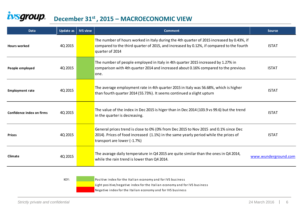#### ivsgroup. **December 31st , 2015 – MACROECONOMIC VIEW**

| <b>Data</b>               | <b>Update as</b> | <b>IVS view</b> | <b>Comment</b>                                                                                                                                                                                              | <b>Source</b>        |
|---------------------------|------------------|-----------------|-------------------------------------------------------------------------------------------------------------------------------------------------------------------------------------------------------------|----------------------|
| <b>Hours worked</b>       | 4Q 2015          |                 | The number of hours worked in Italy during the 4th quarter of 2015 increased by 0.43%, if<br>compared to the third quarter of 2015, and increased by 0.12%, if compared to the fourth<br>quarter of 2014    | <b>ISTAT</b>         |
| People employed           | 4Q 2015          |                 | The number of people employed in Italy in 4th quarter 2015 increased by 1.27% in<br>comparison with 4th quarter 2014 and increased about 0.16% compared to the previous<br>lone.                            | <b>ISTAT</b>         |
| <b>Employment rate</b>    | 4Q 2015          |                 | The average employment rate in 4th quarter 2015 in Italy was 56.68%, which is higher<br>than fourth quarter 2014 (55.73%). It seems continued a slight upturn                                               | <b>ISTAT</b>         |
| Confidence index on firms | 4Q 2015          |                 | The value of the index in Dec 2015 is higer than in Dec 2014 (103.9 vs 99.6) but the trend<br>in the quarter is decreasing.                                                                                 | <b>ISTAT</b>         |
| <b>Prices</b>             | 4Q 2015          |                 | General prices trend is close to 0% (0% from Dec 2015 to Nov 2015 and 0.1% since Dec<br>2014). Prices of food increased (1.1%) in the same yearly period while the prices of<br>transport are lower (-1.7%) | <b>ISTAT</b>         |
| Climate                   | 4Q 2015          |                 | The avarage daily temperature in Q4 2015 are quite similar than the ones in Q4 2014,<br>while the rain trend is lower than Q4 2014.                                                                         | www.wunderground.com |
|                           |                  |                 | .                                                                                                                                                                                                           |                      |

KEY: Positive index for the Italian economy and for IVS business

Light positive/negative index for the Italian economy and for IVS business

Negative index for the Italian economy and for IVS business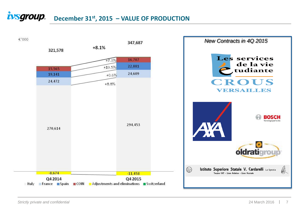### **i**VSgroup. December 31<sup>st</sup>, 2015 – VALUE OF PRODUCTION

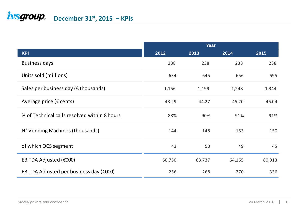## **i**VSgroup. December 31<sup>st</sup>, 2015 – KPIs

|                                                | Year   |        |        |        |  |  |  |  |
|------------------------------------------------|--------|--------|--------|--------|--|--|--|--|
| <b>KPI</b>                                     | 2012   | 2013   | 2014   | 2015   |  |  |  |  |
| <b>Business days</b>                           | 238    | 238    | 238    | 238    |  |  |  |  |
| Units sold (millions)                          | 634    | 645    | 656    | 695    |  |  |  |  |
| Sales per business day ( $\epsilon$ thousands) | 1,156  | 1,199  | 1,248  | 1,344  |  |  |  |  |
| Average price ( $\epsilon$ cents)              | 43.29  | 44.27  | 45.20  | 46.04  |  |  |  |  |
| % of Technical calls resolved within 8 hours   | 88%    | 90%    | 91%    | 91%    |  |  |  |  |
| N° Vending Machines (thousands)                | 144    | 148    | 153    | 150    |  |  |  |  |
| of which OCS segment                           | 43     | 50     | 49     | 45     |  |  |  |  |
| EBITDA Adjusted (€000)                         | 60,750 | 63,737 | 64,165 | 80,013 |  |  |  |  |
| EBITDA Adjusted per business day $(6000)$      | 256    | 268    | 270    | 336    |  |  |  |  |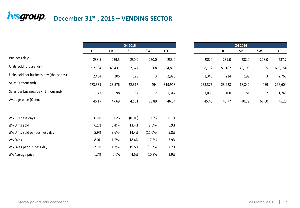# $\frac{1}{2}$ *December* 31<sup>st</sup>, 2015 – VENDING SECTOR

| wsgrvup.                                      | December 31 <sup>31</sup> , 2015 - VENDING SECTOR |           |           |             |            |                        |           |           |                |            |
|-----------------------------------------------|---------------------------------------------------|-----------|-----------|-------------|------------|------------------------|-----------|-----------|----------------|------------|
|                                               |                                                   |           |           |             |            |                        |           |           |                |            |
|                                               |                                                   |           |           |             |            |                        |           |           |                |            |
|                                               |                                                   |           | Q4 2015   |             |            |                        |           | Q4 2014   |                |            |
|                                               | $\mathsf{I}\mathsf{T}$                            | <b>FR</b> | <b>SP</b> | <b>SW</b>   | <b>TOT</b> | $\mathsf{I}\mathsf{T}$ | <b>FR</b> | <b>SP</b> | <b>SW</b>      | <b>TOT</b> |
| Business days                                 | 238.5                                             | 239.5     | 230.0     | 250.0       | 238.0      | 238.0                  | 239.0     | 232.0     | 228.0          |            |
| Units sold (thousands)                        | 592,384                                           | 49,431    | 52,377    | 668         | 694,860    | 558,112                | 51,167    | 46,190    | 685            | 656,154    |
| Units sold per business day (thousands)       | 2,484                                             | 206       | 228       | 3           | 2,920      | 2,345                  | 214       | 199       | 3              |            |
| Sales (€ thousand)                            | 273,531                                           | 23,576    | 22,317    | 494         | 319,918    | 253,375                | 23,928    | 18,842    | 459            |            |
| Sales per business day ( $\epsilon$ thousand) | 1,147                                             | 98        | 97        | $\mathbf 2$ | 1,344      | 1,065                  | 100       | 81        | $\overline{2}$ |            |
| Average price (€ cents)                       | 46.17                                             | 47.69     | 42.61     | 73.89       | 46.04      | 45.40                  | 46.77     | 40.79     | 67.00          |            |
| Δ% Business days                              | 0.2%                                              | 0.2%      | (0.9%     | 9.6%        | 0.1%       |                        |           |           |                |            |
| Δ% Units sold                                 | 6.1%                                              | (3.4%)    | 13.4%     | (2.5%)      | 5.9%       |                        |           |           |                |            |
| ∆% Units sold per business day                | 5.9%                                              | (3.6%)    | 14.4%     | (11.0%)     | 5.8%       |                        |           |           |                |            |
| ∆% Sales                                      | 8.0%                                              | (1.5%)    | 18.4%     | 7.6%        | 7.9%       |                        |           |           |                |            |
| ∆% Sales per business day                     | 7.7%                                              | (1.7%)    | 19.5%     | (1.8%)      | 7.7%       |                        |           |           |                |            |
| ∆% Average price                              | 1.7%                                              | 2.0%      | 4.5%      | 10.3%       | 1.9%       |                        |           |           |                |            |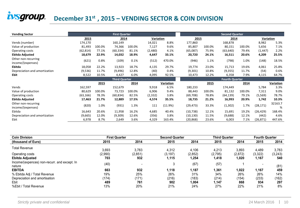## **i**VSgroup. December 31<sup>st</sup>, 2015 – VENDING SECTOR & COIN DIVISION

| <b>Vending Sector</b>                    |           |        | <b>First Quarter</b> |        |           |           |           |        | <b>Second Quarter</b> |        |           |              |
|------------------------------------------|-----------|--------|----------------------|--------|-----------|-----------|-----------|--------|-----------------------|--------|-----------|--------------|
|                                          | 2015      |        | 2014                 |        | Variation |           |           | 2015   | 2014                  |        | Variation |              |
| Vends (number)                           | 174,170   |        | 160,149              |        | 14,021    | 8.8%      | 177,860   |        | 168,878               |        | 8,982     | 5.3%         |
| Value of production                      | 81,493    | 100.0% | 74,366               | 100.0% | 7,127     | 9.6%      | 85,807    | 100.0% | 80,151                | 100.0% | 5,656     | 7.1%         |
| Operating costs                          | (62, 814) | 77.1%  | (60, 334)            | 81.1%  | (2,480)   | 4.1%      | (65,087)  | 75.9%  | (63, 640)             | 79.4%  | (1, 447)  | 2.2%         |
| Ebitda Adjusted                          | 18,679    | 22.9%  | 14,032               | 18.9%  | 4,647     | 33.1%     | 20,720    | 24.1%  | 16,511                | 20.6%  | 4,209     | 25.5%        |
| Other non-recurring<br>income/(expenses) | (621)     | 0.8%   | (109)                | 0.1%   | (512)     | 470.0%    | (946)     | 1.1%   | (798)                 | 1.0%   | (148)     | 18.5%        |
| Ebitda                                   | 18,058    | 22.2%  | 13,923               | 18.7%  | 4,135     | 29.7%     | 19,774    | 23.0%  | 15,713                | 19.6%  | 4,061     | 25.8%        |
| Depreciation and amortization            | (9,536)   | 11.7%  | (9, 496)             | 12.8%  | (40)      | 0.4%      | (9,301)   | 10.8%  | (9,355)               | 11.7%  | (54)      | 0.6%         |
| <b>Ebit</b>                              | 8,522     | 10.5%  | 4,427                | 6.0%   | 4,095     | 92.5%     | 10,473    | 12.2%  | 6,358                 | 7.9%   | 4,115     | 64.7%        |
|                                          |           |        | <b>Third Quarter</b> |        |           |           |           |        | <b>Fourth Quarter</b> |        |           |              |
|                                          |           | 2015   |                      | 2014   |           | Variation |           | 2015   |                       | 2014   |           | Variation    |
| Vends                                    | 162,597   |        | 152,679              |        | 9,918     | 6.5%      | 180,233   |        | 174,449               |        | 5,784     | 3.3%         |
| Value of production                      | 80,629    | 100.0% | 73,723               | 100.0% | 6,906     | 9.4%      | 88,443    | 100.0% | 81,132                | 100.0% | 7,311     | 9.0%         |
| Operating costs                          | (63, 166) | 78.3%  | (60, 834)            | 82.5%  | (2, 332)  | 3.8%      | (69, 708) | 78.8%  | (64, 139)             | 79.1%  | (5,569)   | 78.7%        |
| Ebitda Adjusted                          | 17,463    | 21.7%  | 12,889               | 17.5%  | 4,574     | 35.5%     | 18,735    | 21.2%  | 16,993                | 20.9%  | 1,742     | 10.3%        |
| Other non-recurring<br>income/(expenses) | (820)     | 1.0%   | (931)                | 1.3%   | 111       | (11.9%)   | (29, 473) | 33.3%  | (1, 302)              | 1.7%   | (28, 171) | 32163.7<br>% |
| Ebitda                                   | 16,643    | 20.6%  | 11,958               | 16.2%  | 4,685     | 40.4%     | (10, 738) | 12.1%  | 15,691                | 19.2%  | (26, 429) | 168.4%       |
| Depreciation and amortization            | (9,665)   | 12.0%  | (9,309)              | 12.6%  | (356)     | 3.8%      | (10, 130) | 11.5%  | (9,688)               | 12.1%  | (442)     | 4.6%         |
| Ebit                                     | 6,978     | 8.7%   | 2,649                | 3.6%   | 4,329     | 163.4%    | (20, 868) | 23.6%  | 6,003                 | 7.1%   | (26, 871) | 447.6%       |

| <b>Coin Division</b>                                   | <b>First Quarter</b> |                          | <b>Second Quarter</b> |          | <b>Third Quarter</b> |         | <b>Fourth Quarter</b> |         |
|--------------------------------------------------------|----------------------|--------------------------|-----------------------|----------|----------------------|---------|-----------------------|---------|
| (thousand of Euro)                                     | 2015                 | 2014                     | 2015                  | 2014     | 2015                 | 2014    | 2015                  | 2014    |
| <b>Total Revenue</b>                                   | 3,693                | 3.783                    | 4,312                 | 4,106    | 4,213                | 3,893   | 4,489                 | 3,783   |
| Operating costs                                        | (2,990)              | (2, 851)                 | (3, 197)              | (2, 852) | (2,795)              | (2,872) | (3, 322)              | (3,243) |
| <b>Ebitda Adjusted</b>                                 | 703                  | 932                      | 1,115                 | 1,254    | 1,418                | 1.020   | 1,167                 | 540     |
| Income/(expences) non-recurr, and except. In<br>nature | (40)                 | $\overline{\phantom{0}}$ | 3                     | (67)     | (57)                 |         |                       | (81)    |
| <b>EBITDA</b>                                          | 663                  | 932                      | 1,118                 | 1,187    | 1,361                | 1,022   | 1,167                 | 459     |
| % Ebitda Adj / Total Revenue                           | 19%                  | 25%                      | 26%                   | 31%      | 34%                  | 26%     | 26%                   | 14%     |
| Depreciation and amortisation                          | (174)                | (171)                    | (216)                 | (183)    | (214)                | (154)   | (233)                 | (162)   |
| Ebit                                                   | 489                  | 761                      | 902                   | 1,004    | 1,147                | 868     | 934                   | 297     |
| %Ebit / Total Revenue                                  | 13%                  | 20%                      | 21%                   | 24%      | 27%                  | 22%     | 21%                   | 8%      |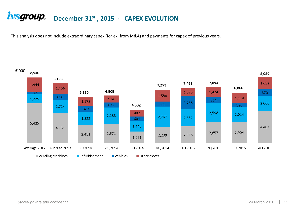### **December 31st , 2015 - CAPEX EVOLUTION**

This analysis does not include extraordinary capex (for ex. from M&A) and payments for capex of previous years.